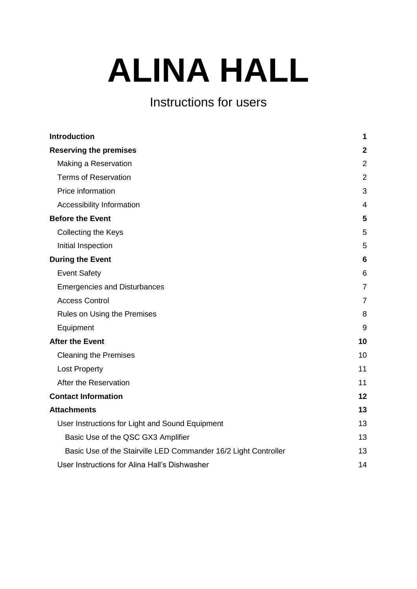# **ALINA HALL**

# Instructions for users

| <b>Introduction</b>                                             | 1              |
|-----------------------------------------------------------------|----------------|
| <b>Reserving the premises</b>                                   | $\mathbf 2$    |
| Making a Reservation                                            | $\overline{2}$ |
| <b>Terms of Reservation</b>                                     | $\overline{2}$ |
| Price information                                               | 3              |
| Accessibility Information                                       | 4              |
| <b>Before the Event</b>                                         | 5              |
| <b>Collecting the Keys</b>                                      | 5              |
| Initial Inspection                                              | 5              |
| <b>During the Event</b>                                         | 6              |
| <b>Event Safety</b>                                             | 6              |
| <b>Emergencies and Disturbances</b>                             | $\overline{7}$ |
| <b>Access Control</b>                                           | $\overline{7}$ |
| Rules on Using the Premises                                     | 8              |
| Equipment                                                       | 9              |
| <b>After the Event</b>                                          | 10             |
| <b>Cleaning the Premises</b>                                    | 10             |
| <b>Lost Property</b>                                            | 11             |
| After the Reservation                                           | 11             |
| <b>Contact Information</b>                                      | 12             |
| <b>Attachments</b>                                              | 13             |
| User Instructions for Light and Sound Equipment                 | 13             |
| Basic Use of the QSC GX3 Amplifier                              | 13             |
| Basic Use of the Stairville LED Commander 16/2 Light Controller | 13             |
| User Instructions for Alina Hall's Dishwasher                   | 14             |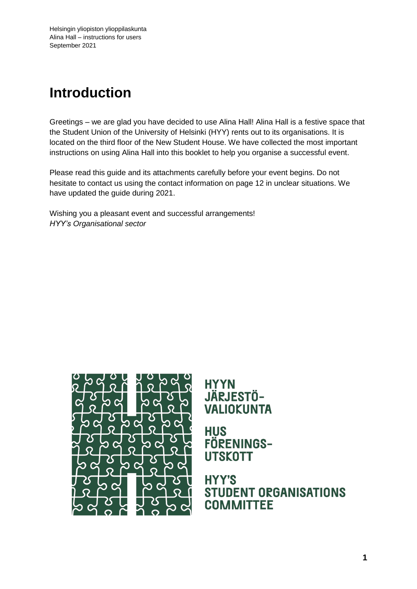# <span id="page-1-0"></span>**Introduction**

Greetings – we are glad you have decided to use Alina Hall! Alina Hall is a festive space that the Student Union of the University of Helsinki (HYY) rents out to its organisations. It is located on the third floor of the New Student House. We have collected the most important instructions on using Alina Hall into this booklet to help you organise a successful event.

Please read this guide and its attachments carefully before your event begins. Do not hesitate to contact us using the contact information on page 12 in unclear situations. We have updated the guide during 2021.

Wishing you a pleasant event and successful arrangements! *HYY's Organisational sector*



**HYYN** JÄRJESTÖ-**VALIOKUNTA** 

**HUS** FÖRENINGS-**UTSKOTT** 

**HYY'S STUDENT ORGANISATIONS COMMITTEE**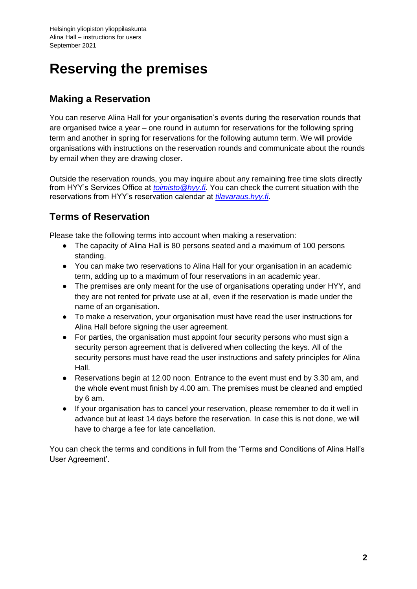# <span id="page-2-0"></span>**Reserving the premises**

## <span id="page-2-1"></span>**Making a Reservation**

You can reserve Alina Hall for your organisation's events during the reservation rounds that are organised twice a year – one round in autumn for reservations for the following spring term and another in spring for reservations for the following autumn term. We will provide organisations with instructions on the reservation rounds and communicate about the rounds by email when they are drawing closer.

Outside the reservation rounds, you may inquire about any remaining free time slots directly from HYY's Services Office at *[toimisto@hyy.fi](mailto:toimisto@hyy.fi)*. You can check the current situation with the reservations from HYY's reservation calendar at *[tilavaraus.hyy.fi](http://tilavaraus.hyy.fi/)*.

# <span id="page-2-2"></span>**Terms of Reservation**

Please take the following terms into account when making a reservation:

- The capacity of Alina Hall is 80 persons seated and a maximum of 100 persons standing.
- You can make two reservations to Alina Hall for your organisation in an academic term, adding up to a maximum of four reservations in an academic year.
- The premises are only meant for the use of organisations operating under HYY, and they are not rented for private use at all, even if the reservation is made under the name of an organisation.
- To make a reservation, your organisation must have read the user instructions for Alina Hall before signing the user agreement.
- For parties, the organisation must appoint four security persons who must sign a security person agreement that is delivered when collecting the keys. All of the security persons must have read the user instructions and safety principles for Alina Hall.
- Reservations begin at 12.00 noon. Entrance to the event must end by 3.30 am, and the whole event must finish by 4.00 am. The premises must be cleaned and emptied by 6 am.
- If your organisation has to cancel your reservation, please remember to do it well in advance but at least 14 days before the reservation. In case this is not done, we will have to charge a fee for late cancellation.

You can check the terms and conditions in full from the 'Terms and Conditions of Alina Hall's User Agreement'.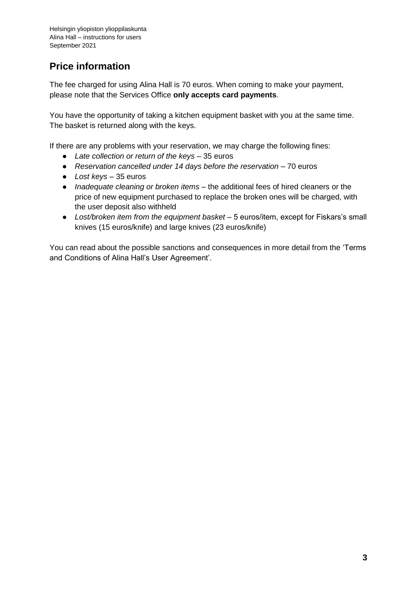# <span id="page-3-0"></span>**Price information**

The fee charged for using Alina Hall is 70 euros. When coming to make your payment, please note that the Services Office **only accepts card payments**.

You have the opportunity of taking a kitchen equipment basket with you at the same time. The basket is returned along with the keys.

If there are any problems with your reservation, we may charge the following fines:

- *Late collection or return of the keys*  35 euros
- *Reservation cancelled under 14 days before the reservation* 70 euros
- *Lost keys*  35 euros
- *Inadequate cleaning or broken items*  the additional fees of hired cleaners or the price of new equipment purchased to replace the broken ones will be charged, with the user deposit also withheld
- *Lost/broken item from the equipment basket*  5 euros/item, except for Fiskars's small knives (15 euros/knife) and large knives (23 euros/knife)

You can read about the possible sanctions and consequences in more detail from the 'Terms and Conditions of Alina Hall's User Agreement'.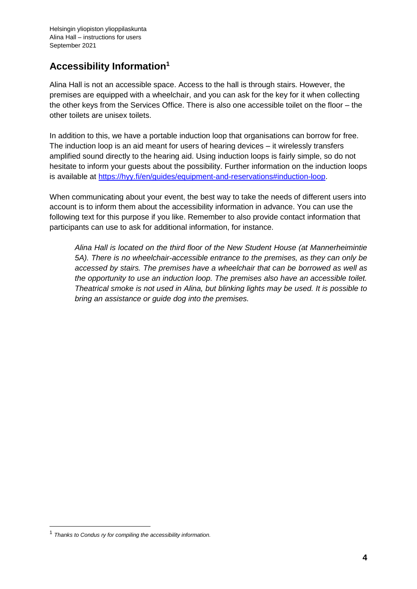# <span id="page-4-0"></span>**Accessibility Information<sup>1</sup>**

Alina Hall is not an accessible space. Access to the hall is through stairs. However, the premises are equipped with a wheelchair, and you can ask for the key for it when collecting the other keys from the Services Office. There is also one accessible toilet on the floor – the other toilets are unisex toilets.

In addition to this, we have a portable induction loop that organisations can borrow for free. The induction loop is an aid meant for users of hearing devices – it wirelessly transfers amplified sound directly to the hearing aid. Using induction loops is fairly simple, so do not hesitate to inform your guests about the possibility. Further information on the induction loops is available at [https://hyy.fi/en/guides/equipment-and-reservations#induction-loop.](https://hyy.fi/en/guides/equipment-and-reservations#induction-loop)

When communicating about your event, the best way to take the needs of different users into account is to inform them about the accessibility information in advance. You can use the following text for this purpose if you like. Remember to also provide contact information that participants can use to ask for additional information, for instance.

*Alina Hall is located on the third floor of the New Student House (at Mannerheimintie 5A). There is no wheelchair-accessible entrance to the premises, as they can only be accessed by stairs. The premises have a wheelchair that can be borrowed as well as the opportunity to use an induction loop. The premises also have an accessible toilet. Theatrical smoke is not used in Alina, but blinking lights may be used. It is possible to bring an assistance or guide dog into the premises.*

1

<sup>1</sup> *Thanks to Condus ry for compiling the accessibility information.*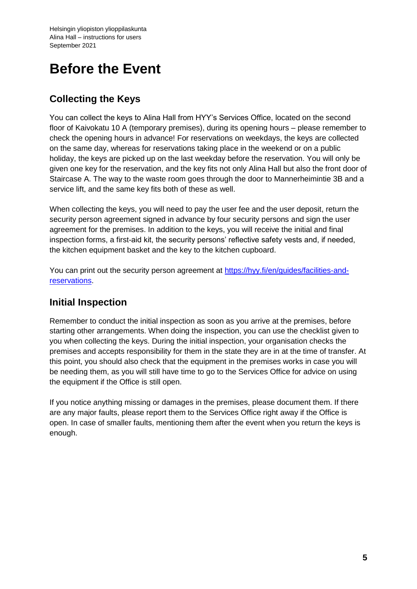# <span id="page-5-0"></span>**Before the Event**

# <span id="page-5-1"></span>**Collecting the Keys**

You can collect the keys to Alina Hall from HYY's Services Office, located on the second floor of Kaivokatu 10 A (temporary premises), during its opening hours – please remember to check the opening hours in advance! For reservations on weekdays, the keys are collected on the same day, whereas for reservations taking place in the weekend or on a public holiday, the keys are picked up on the last weekday before the reservation. You will only be given one key for the reservation, and the key fits not only Alina Hall but also the front door of Staircase A. The way to the waste room goes through the door to Mannerheimintie 3B and a service lift, and the same key fits both of these as well.

When collecting the keys, you will need to pay the user fee and the user deposit, return the security person agreement signed in advance by four security persons and sign the user agreement for the premises. In addition to the keys, you will receive the initial and final inspection forms, a first-aid kit, the security persons' reflective safety vests and, if needed, the kitchen equipment basket and the key to the kitchen cupboard.

You can print out the security person agreement at [https://hyy.fi/en/guides/facilities-and](https://hyy.fi/en/guides/facilities-and-reservations)[reservations.](https://hyy.fi/en/guides/facilities-and-reservations)

## <span id="page-5-2"></span>**Initial Inspection**

Remember to conduct the initial inspection as soon as you arrive at the premises, before starting other arrangements. When doing the inspection, you can use the checklist given to you when collecting the keys. During the initial inspection, your organisation checks the premises and accepts responsibility for them in the state they are in at the time of transfer. At this point, you should also check that the equipment in the premises works in case you will be needing them, as you will still have time to go to the Services Office for advice on using the equipment if the Office is still open.

If you notice anything missing or damages in the premises, please document them. If there are any major faults, please report them to the Services Office right away if the Office is open. In case of smaller faults, mentioning them after the event when you return the keys is enough.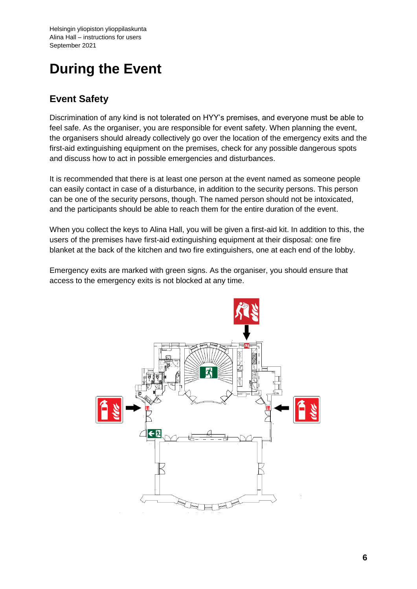# <span id="page-6-0"></span>**During the Event**

## <span id="page-6-1"></span>**Event Safety**

Discrimination of any kind is not tolerated on HYY's premises, and everyone must be able to feel safe. As the organiser, you are responsible for event safety. When planning the event, the organisers should already collectively go over the location of the emergency exits and the first-aid extinguishing equipment on the premises, check for any possible dangerous spots and discuss how to act in possible emergencies and disturbances.

It is recommended that there is at least one person at the event named as someone people can easily contact in case of a disturbance, in addition to the security persons. This person can be one of the security persons, though. The named person should not be intoxicated, and the participants should be able to reach them for the entire duration of the event.

When you collect the keys to Alina Hall, you will be given a first-aid kit. In addition to this, the users of the premises have first-aid extinguishing equipment at their disposal: one fire blanket at the back of the kitchen and two fire extinguishers, one at each end of the lobby.

Emergency exits are marked with green signs. As the organiser, you should ensure that access to the emergency exits is not blocked at any time.

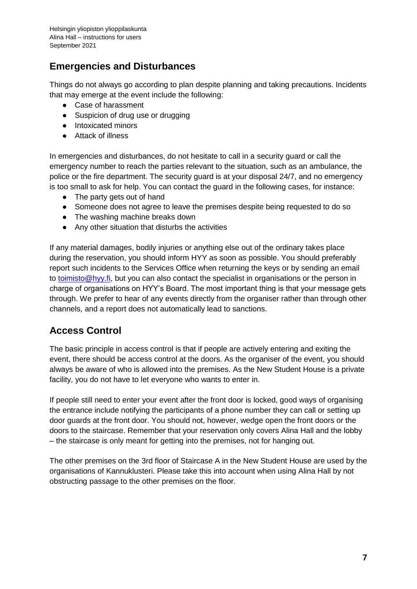# <span id="page-7-0"></span>**Emergencies and Disturbances**

Things do not always go according to plan despite planning and taking precautions. Incidents that may emerge at the event include the following:

- Case of harassment
- Suspicion of drug use or drugging
- Intoxicated minors
- Attack of illness

In emergencies and disturbances, do not hesitate to call in a security guard or call the emergency number to reach the parties relevant to the situation, such as an ambulance, the police or the fire department. The security guard is at your disposal 24/7, and no emergency is too small to ask for help. You can contact the guard in the following cases, for instance:

- The party gets out of hand
- Someone does not agree to leave the premises despite being requested to do so
- The washing machine breaks down
- Any other situation that disturbs the activities

If any material damages, bodily injuries or anything else out of the ordinary takes place during the reservation, you should inform HYY as soon as possible. You should preferably report such incidents to the Services Office when returning the keys or by sending an email to [toimisto@hyy.fi,](mailto:toimisto@hyy.fi) but you can also contact the specialist in organisations or the person in charge of organisations on HYY's Board. The most important thing is that your message gets through. We prefer to hear of any events directly from the organiser rather than through other channels, and a report does not automatically lead to sanctions.

## <span id="page-7-1"></span>**Access Control**

The basic principle in access control is that if people are actively entering and exiting the event, there should be access control at the doors. As the organiser of the event, you should always be aware of who is allowed into the premises. As the New Student House is a private facility, you do not have to let everyone who wants to enter in.

If people still need to enter your event after the front door is locked, good ways of organising the entrance include notifying the participants of a phone number they can call or setting up door guards at the front door. You should not, however, wedge open the front doors or the doors to the staircase. Remember that your reservation only covers Alina Hall and the lobby – the staircase is only meant for getting into the premises, not for hanging out.

The other premises on the 3rd floor of Staircase A in the New Student House are used by the organisations of Kannuklusteri. Please take this into account when using Alina Hall by not obstructing passage to the other premises on the floor.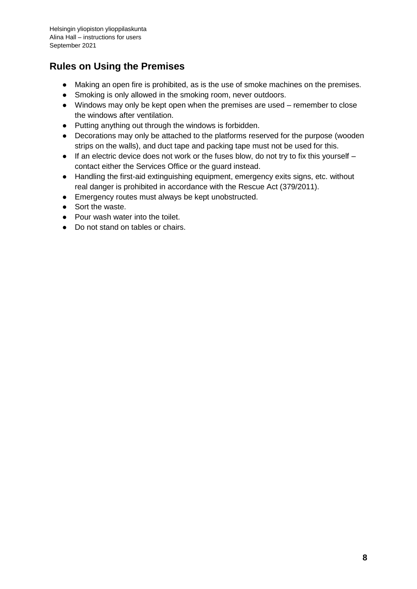# <span id="page-8-0"></span>**Rules on Using the Premises**

- Making an open fire is prohibited, as is the use of smoke machines on the premises.
- Smoking is only allowed in the smoking room, never outdoors.
- Windows may only be kept open when the premises are used remember to close the windows after ventilation.
- Putting anything out through the windows is forbidden.
- Decorations may only be attached to the platforms reserved for the purpose (wooden strips on the walls), and duct tape and packing tape must not be used for this.
- $\bullet$  If an electric device does not work or the fuses blow, do not try to fix this yourself contact either the Services Office or the guard instead.
- Handling the first-aid extinguishing equipment, emergency exits signs, etc. without real danger is prohibited in accordance with the Rescue Act (379/2011).
- Emergency routes must always be kept unobstructed.
- Sort the waste.
- Pour wash water into the toilet.
- Do not stand on tables or chairs.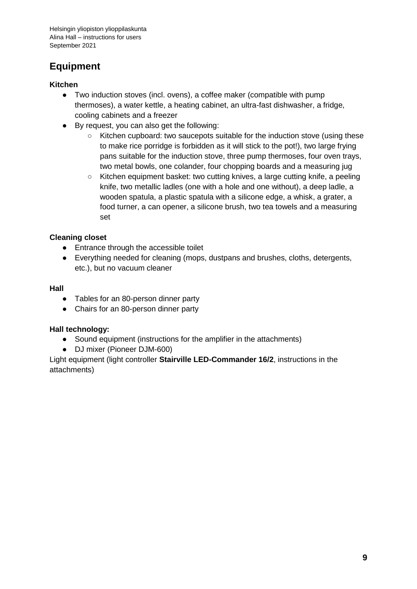# <span id="page-9-0"></span>**Equipment**

#### **Kitchen**

- Two induction stoves (incl. ovens), a coffee maker (compatible with pump thermoses), a water kettle, a heating cabinet, an ultra-fast dishwasher, a fridge, cooling cabinets and a freezer
- By request, you can also get the following:
	- Kitchen cupboard: two saucepots suitable for the induction stove (using these to make rice porridge is forbidden as it will stick to the pot!), two large frying pans suitable for the induction stove, three pump thermoses, four oven trays, two metal bowls, one colander, four chopping boards and a measuring jug
	- Kitchen equipment basket: two cutting knives, a large cutting knife, a peeling knife, two metallic ladles (one with a hole and one without), a deep ladle, a wooden spatula, a plastic spatula with a silicone edge, a whisk, a grater, a food turner, a can opener, a silicone brush, two tea towels and a measuring set

#### **Cleaning closet**

- Entrance through the accessible toilet
- Everything needed for cleaning (mops, dustpans and brushes, cloths, detergents, etc.), but no vacuum cleaner

#### **Hall**

- Tables for an 80-person dinner party
- Chairs for an 80-person dinner party

#### **Hall technology:**

- Sound equipment (instructions for the amplifier in the attachments)
- DJ mixer (Pioneer DJM-600)

Light equipment (light controller **Stairville LED-Commander 16/2**, instructions in the attachments)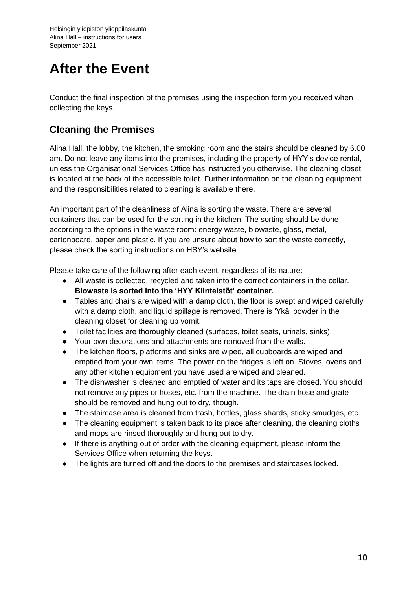# <span id="page-10-0"></span>**After the Event**

Conduct the final inspection of the premises using the inspection form you received when collecting the keys.

# <span id="page-10-1"></span>**Cleaning the Premises**

Alina Hall, the lobby, the kitchen, the smoking room and the stairs should be cleaned by 6.00 am. Do not leave any items into the premises, including the property of HYY's device rental, unless the Organisational Services Office has instructed you otherwise. The cleaning closet is located at the back of the accessible toilet. Further information on the cleaning equipment and the responsibilities related to cleaning is available there.

An important part of the cleanliness of Alina is sorting the waste. There are several containers that can be used for the sorting in the kitchen. The sorting should be done according to the options in the waste room: energy waste, biowaste, glass, metal, cartonboard, paper and plastic. If you are unsure about how to sort the waste correctly, please check the sorting instructions on HSY's website.

Please take care of the following after each event, regardless of its nature:

- All waste is collected, recycled and taken into the correct containers in the cellar. **Biowaste is sorted into the 'HYY Kiinteistöt' container.**
- Tables and chairs are wiped with a damp cloth, the floor is swept and wiped carefully with a damp cloth, and liquid spillage is removed. There is 'Ykä' powder in the cleaning closet for cleaning up vomit.
- Toilet facilities are thoroughly cleaned (surfaces, toilet seats, urinals, sinks)
- Your own decorations and attachments are removed from the walls.
- The kitchen floors, platforms and sinks are wiped, all cupboards are wiped and emptied from your own items. The power on the fridges is left on. Stoves, ovens and any other kitchen equipment you have used are wiped and cleaned.
- The dishwasher is cleaned and emptied of water and its taps are closed. You should not remove any pipes or hoses, etc. from the machine. The drain hose and grate should be removed and hung out to dry, though.
- The staircase area is cleaned from trash, bottles, glass shards, sticky smudges, etc.
- The cleaning equipment is taken back to its place after cleaning, the cleaning cloths and mops are rinsed thoroughly and hung out to dry.
- If there is anything out of order with the cleaning equipment, please inform the Services Office when returning the keys.
- The lights are turned off and the doors to the premises and staircases locked.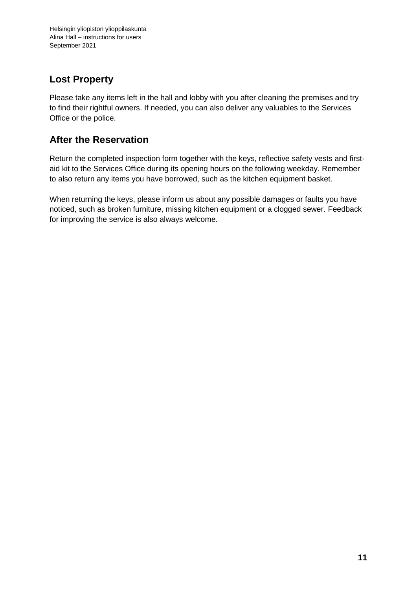## <span id="page-11-0"></span>**Lost Property**

Please take any items left in the hall and lobby with you after cleaning the premises and try to find their rightful owners. If needed, you can also deliver any valuables to the Services Office or the police.

# <span id="page-11-1"></span>**After the Reservation**

Return the completed inspection form together with the keys, reflective safety vests and firstaid kit to the Services Office during its opening hours on the following weekday. Remember to also return any items you have borrowed, such as the kitchen equipment basket.

When returning the keys, please inform us about any possible damages or faults you have noticed, such as broken furniture, missing kitchen equipment or a clogged sewer. Feedback for improving the service is also always welcome.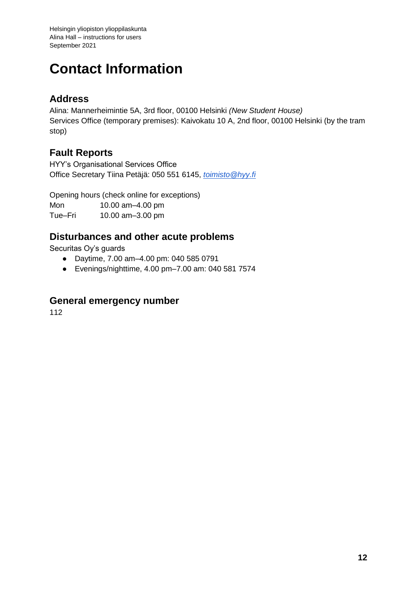# <span id="page-12-0"></span>**Contact Information**

## **Address**

Alina: Mannerheimintie 5A, 3rd floor, 00100 Helsinki *(New Student House)* Services Office (temporary premises): Kaivokatu 10 A, 2nd floor, 00100 Helsinki (by the tram stop)

# **Fault Reports**

HYY's Organisational Services Office Office Secretary Tiina Petäjä: 050 551 6145, *[toimisto@hyy.fi](mailto:toimisto@hyy.fi)*

Opening hours (check online for exceptions)

Mon 10.00 am–4.00 pm Tue–Fri 10.00 am–3.00 pm

## **Disturbances and other acute problems**

Securitas Oy's guards

- Daytime, 7.00 am–4.00 pm: 040 585 0791
- Evenings/nighttime, 4.00 pm–7.00 am: 040 581 7574

## **General emergency number**

112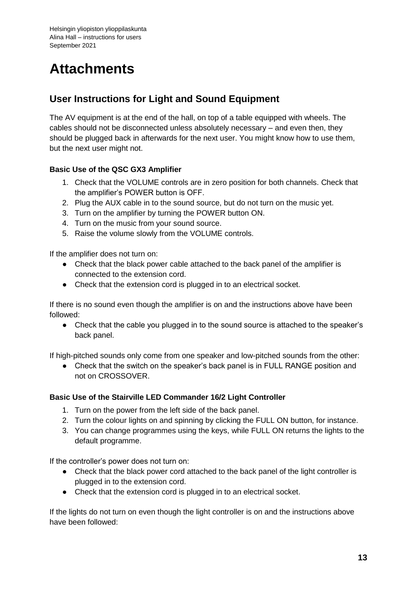# <span id="page-13-0"></span>**Attachments**

# <span id="page-13-1"></span>**User Instructions for Light and Sound Equipment**

The AV equipment is at the end of the hall, on top of a table equipped with wheels. The cables should not be disconnected unless absolutely necessary – and even then, they should be plugged back in afterwards for the next user. You might know how to use them, but the next user might not.

#### <span id="page-13-2"></span>**Basic Use of the QSC GX3 Amplifier**

- 1. Check that the VOLUME controls are in zero position for both channels. Check that the amplifier's POWER button is OFF.
- 2. Plug the AUX cable in to the sound source, but do not turn on the music yet.
- 3. Turn on the amplifier by turning the POWER button ON.
- 4. Turn on the music from your sound source.
- 5. Raise the volume slowly from the VOLUME controls.

If the amplifier does not turn on:

- Check that the black power cable attached to the back panel of the amplifier is connected to the extension cord.
- Check that the extension cord is plugged in to an electrical socket.

If there is no sound even though the amplifier is on and the instructions above have been followed:

● Check that the cable you plugged in to the sound source is attached to the speaker's back panel.

If high-pitched sounds only come from one speaker and low-pitched sounds from the other:

• Check that the switch on the speaker's back panel is in FULL RANGE position and not on CROSSOVER.

#### <span id="page-13-3"></span>**Basic Use of the Stairville LED Commander 16/2 Light Controller**

- 1. Turn on the power from the left side of the back panel.
- 2. Turn the colour lights on and spinning by clicking the FULL ON button, for instance.
- 3. You can change programmes using the keys, while FULL ON returns the lights to the default programme.

If the controller's power does not turn on:

- Check that the black power cord attached to the back panel of the light controller is plugged in to the extension cord.
- Check that the extension cord is plugged in to an electrical socket.

If the lights do not turn on even though the light controller is on and the instructions above have been followed: